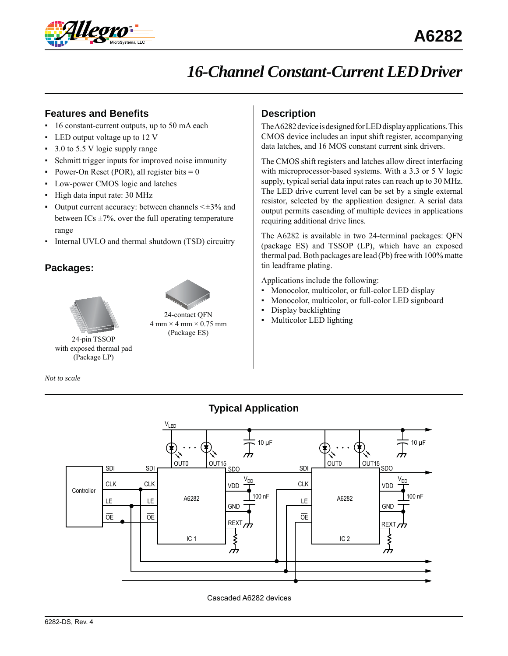

# *16-Channel Constant-Current LED Driver*

## **Features and Benefits**

- 16 constant-current outputs, up to 50 mA each
- LED output voltage up to 12 V
- 3.0 to 5.5 V logic supply range
- Schmitt trigger inputs for improved noise immunity
- Power-On Reset (POR), all register bits  $= 0$
- Low-power CMOS logic and latches
- High data input rate: 30 MHz
- Output current accuracy: between channels  $\leq \pm 3\%$  and between ICs  $\pm$ 7%, over the full operating temperature range
- Internal UVLO and thermal shutdown (TSD) circuitry

### **Packages:**





 $4 \text{ mm} \times 4 \text{ mm} \times 0.75 \text{ mm}$ (Package ES) 24-pin TSSOP

with exposed thermal pad (Package LP)

*Not to scale*

# **Description**

The A6282 device is designed for LED display applications. This CMOS device includes an input shift register, accompanying data latches, and 16 MOS constant current sink drivers.

The CMOS shift registers and latches allow direct interfacing with microprocessor-based systems. With a 3.3 or 5 V logic supply, typical serial data input rates can reach up to 30 MHz. The LED drive current level can be set by a single external resistor, selected by the application designer. A serial data output permits cascading of multiple devices in applications requiring additional drive lines.

The A6282 is available in two 24-terminal packages: QFN (package ES) and TSSOP (LP), which have an exposed thermal pad. Both packages are lead (Pb) free with 100% matte tin leadframe plating.

Applications include the following:

- Monocolor, multicolor, or full-color LED display
- Monocolor, multicolor, or full-color LED signboard
- Display backlighting
- Multicolor LED lighting



Cascaded A6282 devices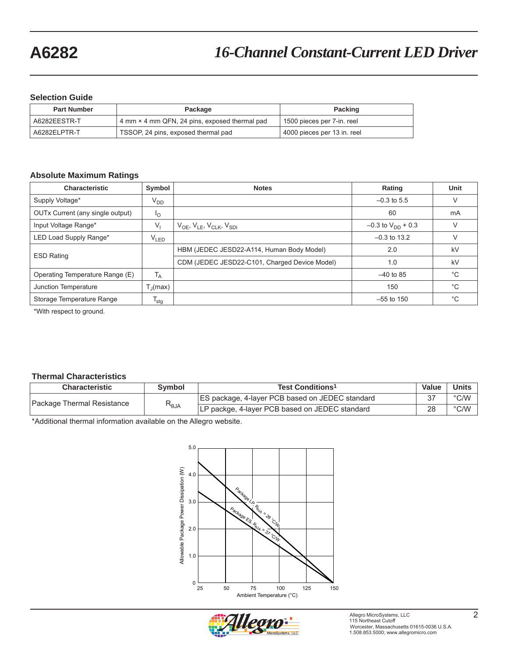### **Selection Guide**

| <b>Part Number</b> | Package                                       | <b>Packing</b>              |  |  |
|--------------------|-----------------------------------------------|-----------------------------|--|--|
| A6282EESTR-T       | 4 mm × 4 mm QFN, 24 pins, exposed thermal pad | 1500 pieces per 7-in. reel  |  |  |
| A6282ELPTR-T       | TSSOP, 24 pins, exposed thermal pad           | 4000 pieces per 13 in. reel |  |  |

### **Absolute Maximum Ratings**

| <b>Characteristic</b>            | Symbol            | <b>Notes</b>                                  | Rating                   | Unit         |
|----------------------------------|-------------------|-----------------------------------------------|--------------------------|--------------|
| Supply Voltage*                  | $V_{DD}$          |                                               | $-0.3$ to 5.5            |              |
| OUTx Current (any single output) | Ιo                |                                               | 60                       | mA           |
| Input Voltage Range*             | $V_{1}$           | $V_{OE}$ , $V_{LE}$ , $V_{CLK}$ , $V_{SDI}$   | $-0.3$ to $V_{DD}$ + 0.3 |              |
| LED Load Supply Range*           | V <sub>LED</sub>  |                                               | $-0.3$ to 13.2           |              |
| <b>ESD Rating</b>                |                   | HBM (JEDEC JESD22-A114, Human Body Model)     | 2.0                      | kV           |
|                                  |                   | CDM (JEDEC JESD22-C101, Charged Device Model) | 1.0                      | kV           |
| Operating Temperature Range (E)  | $T_A$             |                                               | $-40$ to 85              | $^{\circ}$ C |
| Junction Temperature             | $T_{\rm d}$ (max) |                                               | 150                      | $^{\circ}$ C |
| Storage Temperature Range        | <sup>I</sup> stq  |                                               | $-55$ to 150             | $^{\circ}$ C |

\*With respect to ground.

### **Thermal Characteristics**

| <b>Characteristic</b>      | Symbol               | Test Conditions <sup>1</sup>                           | Value | Units         |
|----------------------------|----------------------|--------------------------------------------------------|-------|---------------|
| Package Thermal Resistance | $\kappa_{\theta}$ JA | <b>ES package, 4-layer PCB based on JEDEC standard</b> |       | $\degree$ C/W |
|                            |                      | LP packge, 4-layer PCB based on JEDEC standard         | റഠ    | $\degree$ C/W |

\*Additional thermal information available on the Allegro website.



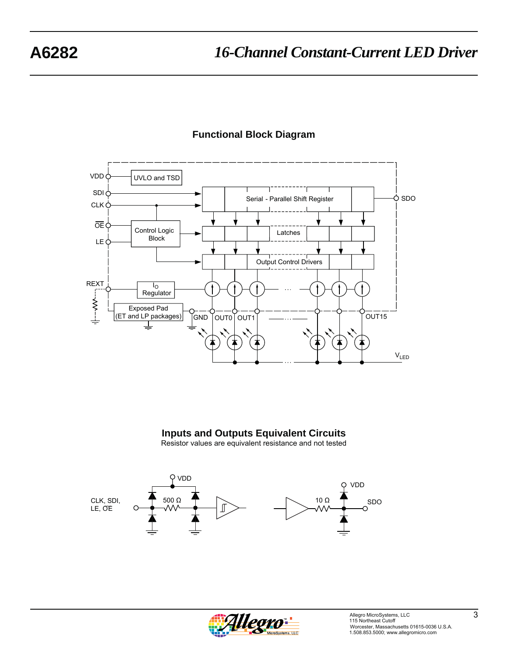

# **Functional Block Diagram**

**Inputs and Outputs Equivalent Circuits**





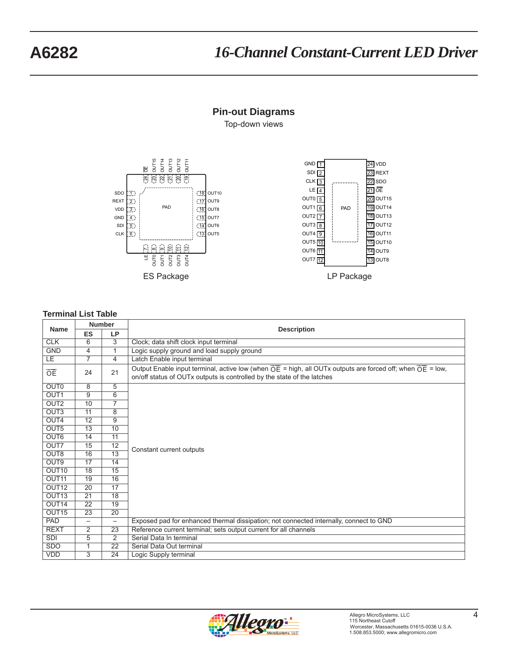# **A6282** *16-Channel Constant-Current LED Driver*

### **Pin-out Diagrams**

Top-down views





### **Terminal List Table**

| <b>Number</b>     |                          |                          |                                                                                                                                                                                                                |  |  |  |
|-------------------|--------------------------|--------------------------|----------------------------------------------------------------------------------------------------------------------------------------------------------------------------------------------------------------|--|--|--|
| <b>Name</b>       | <b>ES</b>                | <b>LP</b>                | <b>Description</b>                                                                                                                                                                                             |  |  |  |
| <b>CLK</b>        | 6                        | $\overline{3}$           | Clock; data shift clock input terminal                                                                                                                                                                         |  |  |  |
| <b>GND</b>        | 4                        | $\overline{1}$           | Logic supply ground and load supply ground                                                                                                                                                                     |  |  |  |
| <b>LE</b>         | 7                        | 4                        | Latch Enable input terminal                                                                                                                                                                                    |  |  |  |
| OE                | 24                       | 21                       | Output Enable input terminal, active low (when $\overline{OE}$ = high, all OUTx outputs are forced off; when $\overline{OE}$ = low,<br>on/off status of OUTx outputs is controlled by the state of the latches |  |  |  |
| <b>OUTO</b>       | 8                        | 5                        |                                                                                                                                                                                                                |  |  |  |
| OUT <sub>1</sub>  | 9                        | 6                        |                                                                                                                                                                                                                |  |  |  |
| OUT <sub>2</sub>  | 10                       | $\overline{7}$           |                                                                                                                                                                                                                |  |  |  |
| OUT <sub>3</sub>  | 11                       | 8                        |                                                                                                                                                                                                                |  |  |  |
| OUT4              | 12                       | 9                        |                                                                                                                                                                                                                |  |  |  |
| OUT <sub>5</sub>  | 13                       | 10                       |                                                                                                                                                                                                                |  |  |  |
| OUT6              | 14                       | $\overline{11}$          |                                                                                                                                                                                                                |  |  |  |
| OUT7              | 15                       | $\overline{12}$          | Constant current outputs                                                                                                                                                                                       |  |  |  |
| OUT8              | 16                       | $\overline{13}$          |                                                                                                                                                                                                                |  |  |  |
| OUT9              | $\overline{17}$          | 14                       |                                                                                                                                                                                                                |  |  |  |
| OUT <sub>10</sub> | 18                       | 15                       |                                                                                                                                                                                                                |  |  |  |
| OUT <sub>11</sub> | 19                       | 16                       |                                                                                                                                                                                                                |  |  |  |
| OUT <sub>12</sub> | 20                       | 17                       |                                                                                                                                                                                                                |  |  |  |
| OUT <sub>13</sub> | $\overline{21}$          | $\overline{18}$          |                                                                                                                                                                                                                |  |  |  |
| OUT14             | $\overline{22}$          | $\overline{19}$          |                                                                                                                                                                                                                |  |  |  |
| OUT <sub>15</sub> | 23                       | $\overline{20}$          |                                                                                                                                                                                                                |  |  |  |
| <b>PAD</b>        | $\overline{\phantom{0}}$ | $\overline{\phantom{0}}$ | Exposed pad for enhanced thermal dissipation; not connected internally, connect to GND                                                                                                                         |  |  |  |
| <b>REXT</b>       | $\overline{2}$           | $\overline{23}$          | Reference current terminal; sets output current for all channels                                                                                                                                               |  |  |  |
| SDI               | 5                        | $\overline{2}$           | Serial Data In terminal                                                                                                                                                                                        |  |  |  |
| <b>SDO</b>        | $\mathbf{1}$             | 22                       | Serial Data Out terminal                                                                                                                                                                                       |  |  |  |
| <b>VDD</b>        | 3                        | 24                       | Logic Supply terminal                                                                                                                                                                                          |  |  |  |

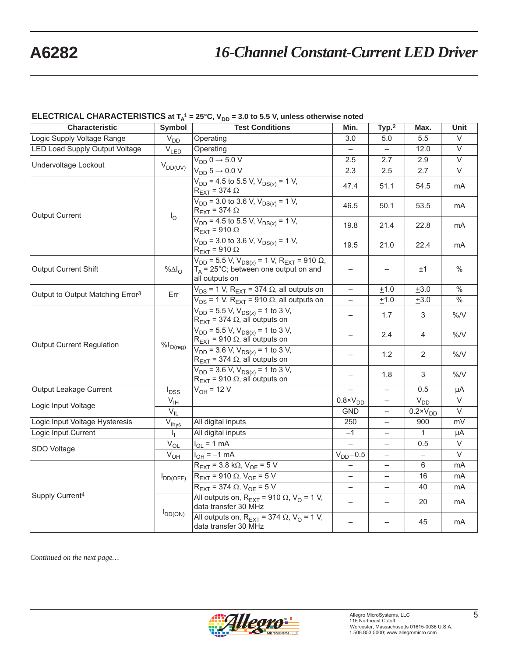### **ELECTRICAL CHARACTERISTICS** at T<sub>A</sub><sup>1</sup> = 25°C, V<sub>DD</sub> = 3.0 to 5.5 V, unless otherwise noted

| <b>Characteristic</b>                        | Symbol                  | <b>Test Conditions</b>                                                                                                      | Min.                           | Typ. <sup>2</sup>        | Max.                           | Unit                     |
|----------------------------------------------|-------------------------|-----------------------------------------------------------------------------------------------------------------------------|--------------------------------|--------------------------|--------------------------------|--------------------------|
| Logic Supply Voltage Range                   | $V_{DD}$                | Operating                                                                                                                   | 3.0                            | 5.0                      | 5.5                            | V                        |
| <b>LED Load Supply Output Voltage</b>        | $\overline{V}_{LED}$    | Operating                                                                                                                   | $\equiv$                       | $-$                      | 12.0                           | $\overline{\vee}$        |
| Undervoltage Lockout                         |                         | $V_{DD}$ 0 $\rightarrow$ 5.0 V                                                                                              | 2.5                            | 2.7                      | 2.9                            | $\overline{\vee}$        |
|                                              | $V_{DD(UV)}$            | $V_{DD}$ 5 $\rightarrow$ 0.0 V                                                                                              | 2.3                            | 2.5                      | 2.7                            | $\overline{\vee}$        |
|                                              |                         | $V_{DD}$ = 4.5 to 5.5 V, $V_{DS(x)}$ = 1 V,<br>$R_{\text{EXT}}$ = 374 $\Omega$                                              | 47.4                           | 51.1                     | 54.5                           | mA                       |
| <b>Output Current</b>                        | $I_{\rm O}$             | $V_{DD}$ = 3.0 to 3.6 V, $V_{DS(x)}$ = 1 V,<br>$R_{\text{EXT}}$ = 374 $\Omega$                                              | 46.5                           | 50.1                     | 53.5                           | mA                       |
|                                              |                         | $V_{DD}$ = 4.5 to 5.5 V, $V_{DS(x)}$ = 1 V,<br>$R_{\text{EXT}}$ = 910 $\Omega$                                              | 19.8                           | 21.4                     | 22.8                           | mA                       |
|                                              |                         | $V_{DD}$ = 3.0 to 3.6 V, $V_{DS(x)}$ = 1 V,<br>$R_{\text{EXT}}$ = 910 $\Omega$                                              | 19.5                           | 21.0                     | 22.4                           | mA                       |
| Output Current Shift                         | % $\Delta I_{\rm O}$    | $V_{DD}$ = 5.5 V, $V_{DS(x)}$ = 1 V, R <sub>EXT</sub> = 910 Ω,<br>$T_A$ = 25°C; between one output on and<br>all outputs on | -                              |                          | ±1                             | $\%$                     |
| Output to Output Matching Error <sup>3</sup> | Err                     | $V_{DS}$ = 1 V, R <sub>EXT</sub> = 374 $\Omega$ , all outputs on                                                            | $\overline{\phantom{0}}$       | ±1.0                     | $+3.0$                         | $\overline{\frac{0}{0}}$ |
|                                              |                         | $V_{DS}$ = 1 V, R <sub>EXT</sub> = 910 $\Omega$ , all outputs on                                                            | $\overline{\phantom{0}}$       | ±1.0                     | ±3.0                           | $\frac{0}{6}$            |
|                                              |                         | $V_{DD}$ = 5.5 $\overline{V}$ , $V_{DS(x)}$ = 1 to 3 $\overline{V}$ ,<br>$R_{\text{EXT}}$ = 374 $\Omega$ , all outputs on   | $\overline{\phantom{0}}$       | 1.7                      | 3                              | $\%$ /V                  |
| <b>Output Current Regulation</b>             |                         | $V_{DD}$ = 5.5 V, $V_{DS(x)}$ = 1 to 3 V,<br>$R_{\text{EXT}}$ = 910 $\Omega$ , all outputs on                               | $\overline{\phantom{0}}$       | 2.4                      | 4                              | $\% / V$                 |
|                                              | $\% I_{O(\text{reg})}$  | $V_{DD}$ = 3.6 V, $V_{DS(x)}$ = 1 to 3 V,<br>$R_{\text{EXT}}$ = 374 $\Omega$ , all outputs on                               | $\overline{\phantom{0}}$       | 1.2                      | 2                              | $\%N$                    |
|                                              |                         | $V_{DD}$ = 3.6 V, $V_{DS(x)}$ = 1 to 3 V,<br>$R_{\text{EXT}}$ = 910 $\Omega$ , all outputs on                               | $\qquad \qquad -$              | 1.8                      | 3                              | $\%N$                    |
| Output Leakage Current                       | $I_{DSS}$               | $V_{OH} = 12 V$                                                                                                             |                                |                          | 0.5                            | μA                       |
| Logic Input Voltage                          | $V_{\text{IH}}$         |                                                                                                                             | $\overline{0.8 \times V_{DD}}$ |                          | V <sub>DD</sub>                | $\overline{\vee}$        |
|                                              | $V_{IL}$                |                                                                                                                             | <b>GND</b>                     |                          | $\overline{0.2 \times V_{DD}}$ | $\overline{\vee}$        |
| Logic Input Voltage Hysteresis               | $\bar{V}_{\text{Ihys}}$ | All digital inputs                                                                                                          | 250                            | $\overline{\phantom{0}}$ | 900                            | mV                       |
| Logic Input Current                          | I <sub>L</sub>          | All digital inputs                                                                                                          | $-1$                           | $\overline{\phantom{0}}$ | $\overline{1}$                 | μA                       |
| SDO Voltage                                  | $V_{OL}$                | $I_{OL}$ = 1 mA                                                                                                             | $\overline{a}$                 | $\overline{\phantom{0}}$ | 0.5                            | V                        |
|                                              | V <sub>OH</sub>         | $I_{OH} = -1$ mA                                                                                                            | $V_{DD}$ -0.5                  | $-$                      | $\qquad \qquad -$              | $\overline{\vee}$        |
|                                              |                         | $R_{\text{EXT}}$ = 3.8 k $\Omega$ , $V_{\text{OE}}$ = 5 V                                                                   |                                | $\overline{\phantom{0}}$ | 6                              | mA                       |
|                                              | $I_{DD(OFF)}$           | $R_{\text{EXT}}$ = 910 $\Omega$ , $V_{\text{OE}}$ = 5 V                                                                     | $\overline{\phantom{0}}$       | $\qquad \qquad -$        | 16                             | mA                       |
|                                              |                         | $R_{\text{EXT}}$ = 374 $\Omega$ , $V_{\text{OE}}$ = 5 V                                                                     | $\overline{\phantom{0}}$       | $\overline{\phantom{0}}$ | 40                             | mA                       |
| Supply Current <sup>4</sup>                  |                         | All outputs on, $R_{\text{EXT}} = 910 \Omega$ , $V_{\text{O}} = 1 V$ ,<br>data transfer 30 MHz                              | $\overline{\phantom{0}}$       |                          | 20                             | mA                       |
|                                              | $I_{DD(ON)}$            | All outputs on, $R_{\text{EXT}} = 374 \Omega$ , $V_{\text{O}} = 1 V$ ,<br>data transfer 30 MHz                              | $\overline{\phantom{0}}$       | $\overline{\phantom{0}}$ | 45                             | mA                       |

*Continued on the next page…*

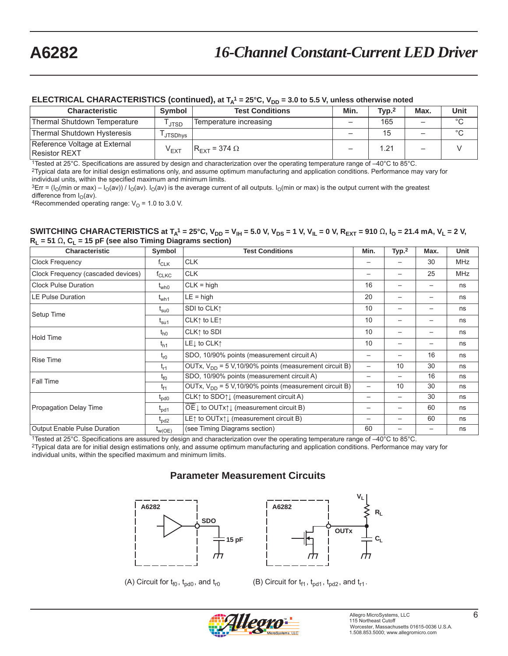### ELECTRICAL CHARACTERISTICS (continued), at T<sub>A</sub><sup>1</sup> = 25°C, V<sub>DD</sub> = 3.0 to 5.5 V, unless otherwise noted

| <b>Characteristic</b>                                 | Symbol           | <b>Test Conditions</b>          | Min.                     | Type <sub>1</sub> | Max.                     | <b>Unit</b> |
|-------------------------------------------------------|------------------|---------------------------------|--------------------------|-------------------|--------------------------|-------------|
| Thermal Shutdown Temperature                          | <b>JTSD</b>      | Temperature increasing          | $\overline{\phantom{0}}$ | 165               | $\overline{\phantom{0}}$ | $\circ$     |
| Thermal Shutdown Hysteresis                           | <b>JTSDhvs</b>   |                                 | $\overline{\phantom{0}}$ | 15                | $\equiv$                 | $\circ$     |
| Reference Voltage at External<br><b>Resistor REXT</b> | $V_{\text{EXT}}$ | $R_{\text{EXT}}$ = 374 $\Omega$ | -                        | 1.21              | -                        |             |

1Tested at 25°C. Specifications are assured by design and characterization over the operating temperature range of –40°C to 85°C.

2Typical data are for initial design estimations only, and assume optimum manufacturing and application conditions. Performance may vary for individual units, within the specified maximum and minimum limits.

<sup>3</sup>Err = ( $I_O$ (min or max) –  $I_O$ (av)) /  $I_O$ (av).  $I_O$ (av) is the average current of all outputs.  $I_O$ (min or max) is the output current with the greatest difference from  $I_O$ (av).

4Recommended operating range:  $V<sub>O</sub> = 1.0$  to 3.0 V.

**SWITCHING CHARACTERISTICS** at  $T_A^1 = 25^\circ$ C, V<sub>DD</sub> = V<sub>IH</sub> = 5.0 V, V<sub>DS</sub> = 1 V, V<sub>IL</sub> = 0 V, R<sub>EXT</sub> = 910 Ω, I<sub>O</sub> = 21.4 mA, V<sub>L</sub> = 2 V,  $R_1 = 51 \Omega$ ,  $C_1 = 15$  pF (see also Timing Diagrams section)

| <b>Characteristic</b>              | Symbol           | <b>Test Conditions</b>                                              | Min.            | Typ. <sup>2</sup>        | Max. | Unit       |
|------------------------------------|------------------|---------------------------------------------------------------------|-----------------|--------------------------|------|------------|
| Clock Frequency                    | $f_{CLK}$        | <b>CLK</b>                                                          |                 |                          | 30   | <b>MHz</b> |
| Clock Frequency (cascaded devices) | $t_{CLKC}$       | <b>CLK</b>                                                          |                 | $\overline{\phantom{m}}$ | 25   | <b>MHz</b> |
| <b>Clock Pulse Duration</b>        | $t_{\text{who}}$ | $CLK = high$                                                        | 16              |                          |      | ns         |
| <b>LE Pulse Duration</b>           | $t_{wh1}$        | $LE = high$                                                         | 20              | $\overline{\phantom{m}}$ |      | ns         |
| Setup Time                         | $t_{\rm su0}$    | SDI to CLK1                                                         | 10              |                          |      | ns         |
|                                    | $t_{\sf su1}$    | CLK↑ to LE↑                                                         | 10              | $\overline{\phantom{m}}$ |      | ns         |
| Hold Time                          | $t_{h0}$         | CLK↑ to SDI                                                         |                 |                          |      | ns         |
|                                    | $t_{h1}$         | LE <sub>J</sub> to CLK <sub>1</sub>                                 | 10              | $\overline{\phantom{m}}$ |      | ns         |
| <b>Rise Time</b>                   | $t_{r0}$         | SDO, 10/90% points (measurement circuit A)                          |                 |                          | 16   | ns         |
|                                    | $t_{r1}$         | OUTx, $V_{DD} = 5 V$ , 10/90% points (measurement circuit B)        |                 | 10                       | 30   | ns         |
| Fall Time                          | $t_{f0}$         | SDO, 10/90% points (measurement circuit A)                          | $\qquad \qquad$ | $\overline{\phantom{m}}$ | 16   | ns         |
|                                    | $t_{f1}$         | OUTx, $V_{DD}$ = 5 V,10/90% points (measurement circuit B)          |                 | 10                       | 30   | ns         |
|                                    | $t_{\text{pd}0}$ | CLK $\uparrow$ to SDO $\uparrow \downarrow$ (measurement circuit A) |                 | $\overline{\phantom{m}}$ | 30   | ns         |
| Propagation Delay Time             | $t_{\text{pd}1}$ | OE Į to OUTx↑↓ (measurement circuit B)                              |                 | $\qquad \qquad$          | 60   | ns         |
|                                    | $I_{\text{pd2}}$ | LE↑ to OUTx↑↓ (measurement circuit B)                               |                 |                          | 60   | ns         |
| Output Enable Pulse Duration       | $I_{W(OE)}$      | (see Timing Diagrams section)                                       | 60              |                          |      | ns         |

1Tested at 25°C. Specifications are assured by design and characterization over the operating temperature range of –40°C to 85°C. 2Typical data are for initial design estimations only, and assume optimum manufacturing and application conditions. Performance may vary for individual units, within the specified maximum and minimum limits.

### **Parameter Measurement Circuits**





(A) Circuit for  $t_{f0}$ ,  $t_{pd0}$ , and  $t_{r0}$  (B) Circuit for  $t_{f1}$ ,  $t_{pd1}$ ,  $t_{pd2}$ , and  $t_{r1}$ .

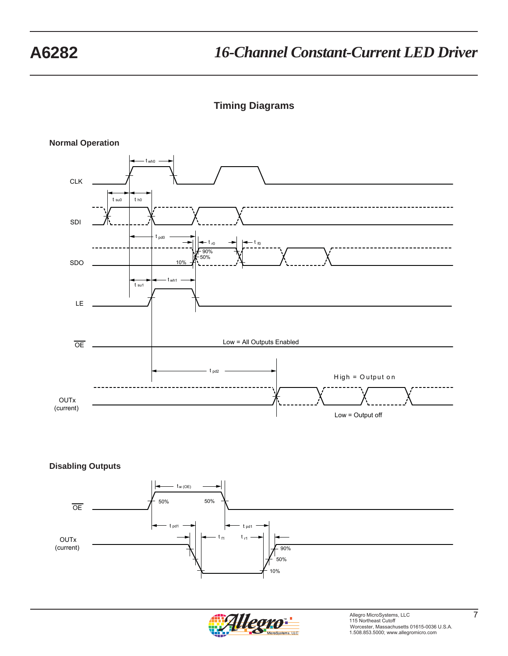**Timing Diagrams**





**Disabling Outputs**



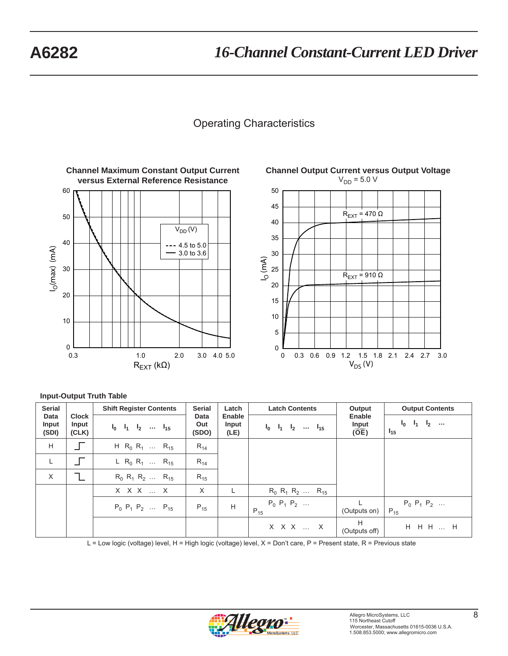# Operating Characteristics







### **Input-Output Truth Table**

| <b>Serial</b>          |                                                                                                | <b>Shift Register Contents</b>                  | <b>Serial</b> | Latch                      | <b>Latch Contents</b>                | Output                        | <b>Output Contents</b>        |
|------------------------|------------------------------------------------------------------------------------------------|-------------------------------------------------|---------------|----------------------------|--------------------------------------|-------------------------------|-------------------------------|
| Data<br>Input<br>(SDI) | Clock<br>Data<br>Input<br>Out<br>Input<br>$I_0$ $I_1$ $I_2$ $I_{15}$<br>(SDO)<br>(CLK)<br>(LE) |                                                 | Enable        | $I_0$ $I_1$ $I_2$ $I_{15}$ | Enable<br>Input<br>$(\overline{OE})$ | $I_0$ $I_1$ $I_2$<br>$I_{15}$ |                               |
| H                      |                                                                                                | H R <sub>0</sub> R <sub>1</sub> R <sub>15</sub> | $R_{14}$      |                            |                                      |                               |                               |
| L                      |                                                                                                | L R <sub>0</sub> R <sub>1</sub> R <sub>15</sub> | $R_{14}$      |                            |                                      |                               |                               |
| $\times$               |                                                                                                | $R_0$ $R_1$ $R_2$ $R_{15}$                      | $R_{15}$      |                            |                                      |                               |                               |
|                        |                                                                                                | $X$ $X$ $X$ $\ldots$ $X$                        | X             |                            | $R_0$ $R_1$ $R_2$ $R_{15}$           |                               |                               |
|                        |                                                                                                | $P_0$ $P_1$ $P_2$ $P_{15}$                      | $P_{15}$      | H                          | $P_0$ $P_1$ $P_2$<br>$P_{15}$        | (Outputs on)                  | $P_0$ $P_1$ $P_2$<br>$P_{15}$ |
|                        |                                                                                                |                                                 |               |                            | $X$ $X$ $X$ $\ldots$ $X$             | H<br>(Outputs off)            | H H H  H                      |

L = Low logic (voltage) level, H = High logic (voltage) level, X = Don't care, P = Present state, R = Previous state

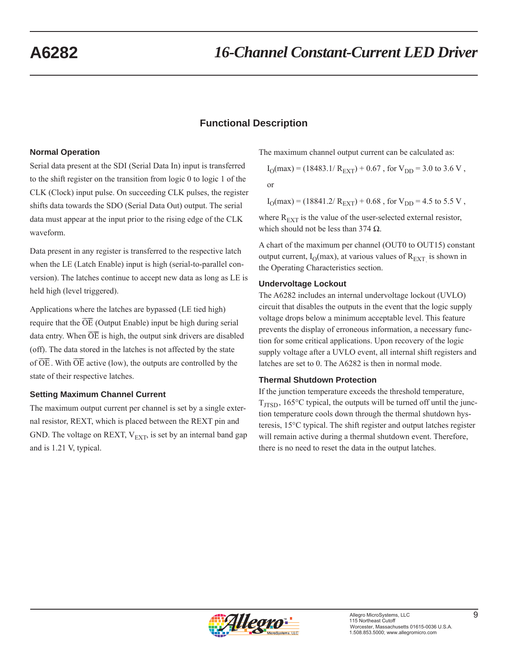# **Functional Description**

### **Normal Operation**

Serial data present at the SDI (Serial Data In) input is transferred to the shift register on the transition from logic 0 to logic 1 of the CLK (Clock) input pulse. On succeeding CLK pulses, the register shifts data towards the SDO (Serial Data Out) output. The serial data must appear at the input prior to the rising edge of the CLK waveform.

Data present in any register is transferred to the respective latch when the LE (Latch Enable) input is high (serial-to-parallel conversion). The latches continue to accept new data as long as LE is held high (level triggered).

Applications where the latches are bypassed (LE tied high) require that the  $\overline{OE}$  (Output Enable) input be high during serial data entry. When  $\overline{OE}$  is high, the output sink drivers are disabled (off). The data stored in the latches is not affected by the state of  $\overline{OE}$ . With  $\overline{OE}$  active (low), the outputs are controlled by the state of their respective latches.

### **Setting Maximum Channel Current**

The maximum output current per channel is set by a single external resistor, REXT, which is placed between the REXT pin and GND. The voltage on REXT,  $V_{\text{EXT}}$ , is set by an internal band gap and is 1.21 V, typical.

The maximum channel output current can be calculated as:

$$
I_{\rm O}(max) = (18483.1/ R_{\rm EXT}) + 0.67
$$
, for  $V_{\rm DD} = 3.0$  to 3.6 V,

or

 $I<sub>O</sub>(max) = (18841.2/R<sub>FXT</sub>) + 0.68$ , for  $V<sub>DD</sub> = 4.5$  to 5.5 V,

where  $R_{\text{EXT}}$  is the value of the user-selected external resistor, which should not be less than 374  $\Omega$ .

A chart of the maximum per channel (OUT0 to OUT15) constant output current,  $I_0$ (max), at various values of  $R_{\text{EXT}}$  is shown in the Operating Characteristics section.

### **Undervoltage Lockout**

The A6282 includes an internal undervoltage lockout (UVLO) circuit that disables the outputs in the event that the logic supply voltage drops below a minimum acceptable level. This feature prevents the display of erroneous information, a necessary function for some critical applications. Upon recovery of the logic supply voltage after a UVLO event, all internal shift registers and latches are set to 0. The A6282 is then in normal mode.

### **Thermal Shutdown Protection**

If the junction temperature exceeds the threshold temperature,  $T<sub>ITSD</sub>$ , 165 $\degree$ C typical, the outputs will be turned off until the junction temperature cools down through the thermal shutdown hysteresis, 15°C typical. The shift register and output latches register will remain active during a thermal shutdown event. Therefore, there is no need to reset the data in the output latches.

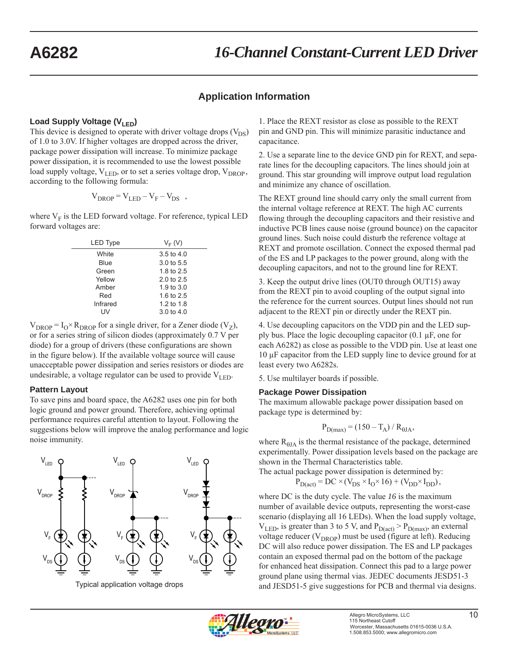### **Application Information**

### Load Supply Voltage (V<sub>LED</sub>)

This device is designed to operate with driver voltage drops  $(V_{DS})$ of 1.0 to 3.0V. If higher voltages are dropped across the driver, package power dissipation will increase. To minimize package power dissipation, it is recommended to use the lowest possible load supply voltage,  $V_{LED}$ , or to set a series voltage drop,  $V_{DROP}$ , according to the following formula:

$$
V_{DROP} = V_{LED} - V_F - V_{DS} ,
$$

where  $\mathbf{V}_{\text{F}}$  is the LED forward voltage. For reference, typical LED forward voltages are:

| <b>LED Type</b> | $V_F(V)$              |
|-----------------|-----------------------|
| White           | $3.5 \text{ to } 4.0$ |
| Blue            | 3.0 to 5.5            |
| Green           | 1.8 to 2.5            |
| Yellow          | $2.0 \text{ to } 2.5$ |
| Amber           | 1.9 to 3.0            |
| Red             | 1.6 to 2.5            |
| Infrared        | 1.2 to 1.8            |
|                 | 3.0 to $4.0$          |

 $V_{DROP} = I_0 \times R_{DROP}$  for a single driver, for a Zener diode (V<sub>Z</sub>), or for a series string of silicon diodes (approximately 0.7 V per diode) for a group of drivers (these configurations are shown in the figure below). If the available voltage source will cause unacceptable power dissipation and series resistors or diodes are undesirable, a voltage regulator can be used to provide  $V_{\text{LED}}$ .

#### **Pattern Layout**

To save pins and board space, the A6282 uses one pin for both logic ground and power ground. Therefore, achieving optimal performance requires careful attention to layout. Following the suggestions below will improve the analog performance and logic noise immunity.



1. Place the REXT resistor as close as possible to the REXT pin and GND pin. This will minimize parasitic inductance and capacitance.

2. Use a separate line to the device GND pin for REXT, and separate lines for the decoupling capacitors. The lines should join at ground. This star grounding will improve output load regulation and minimize any chance of oscillation.

The REXT ground line should carry only the small current from the internal voltage reference at REXT. The high AC currents flowing through the decoupling capacitors and their resistive and inductive PCB lines cause noise (ground bounce) on the capacitor ground lines. Such noise could disturb the reference voltage at REXT and promote oscillation. Connect the exposed thermal pad of the ES and LP packages to the power ground, along with the decoupling capacitors, and not to the ground line for REXT.

3. Keep the output drive lines (OUT0 through OUT15) away from the REXT pin to avoid coupling of the output signal into the reference for the current sources. Output lines should not run adjacent to the REXT pin or directly under the REXT pin.

4. Use decoupling capacitors on the VDD pin and the LED supply bus. Place the logic decoupling capacitor (0.1 μF, one for each A6282) as close as possible to the VDD pin. Use at least one 10 μF capacitor from the LED supply line to device ground for at least every two A6282s.

5. Use multilayer boards if possible.

#### **Package Power Dissipation**

The maximum allowable package power dissipation based on package type is determined by:

$$
P_{D(max)} = (150 - T_A) / R_{\theta JA},
$$

where  $R_{0JA}$  is the thermal resistance of the package, determined experimentally. Power dissipation levels based on the package are shown in the Thermal Characteristics table.

The actual package power dissipation is determined by:

$$
P_{D(\text{act})} = DC \times (V_{DS} \times I_0 \times 16) + (V_{DD} \times I_{DD}),
$$

where DC is the duty cycle. The value *16* is the maximum number of available device outputs, representing the worst-case scenario (displaying all 16 LEDs). When the load supply voltage,  $V_{LED}$ , is greater than 3 to 5 V, and  $P_{D(act)} > P_{D(max)}$ , an external voltage reducer ( $V_{DROP}$ ) must be used (figure at left). Reducing DC will also reduce power dissipation. The ES and LP packages contain an exposed thermal pad on the bottom of the package for enhanced heat dissipation. Connect this pad to a large power ground plane using thermal vias. JEDEC documents JESD51-3 and JESD51-5 give suggestions for PCB and thermal via designs.

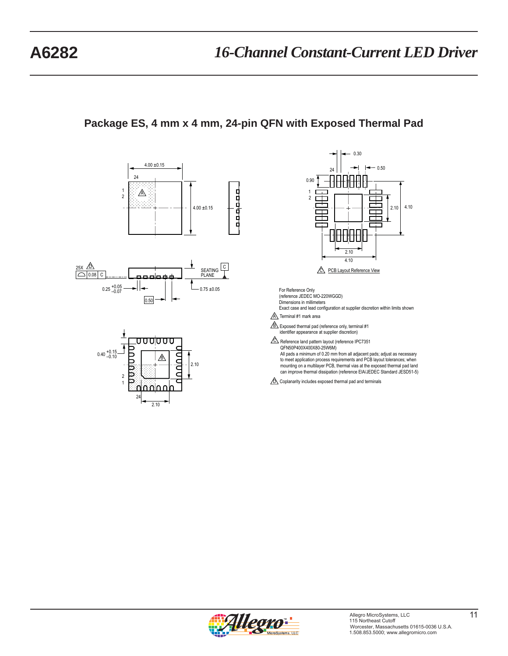# **Package ES, 4 mm x 4 mm, 24-pin QFN with Exposed Thermal Pad**







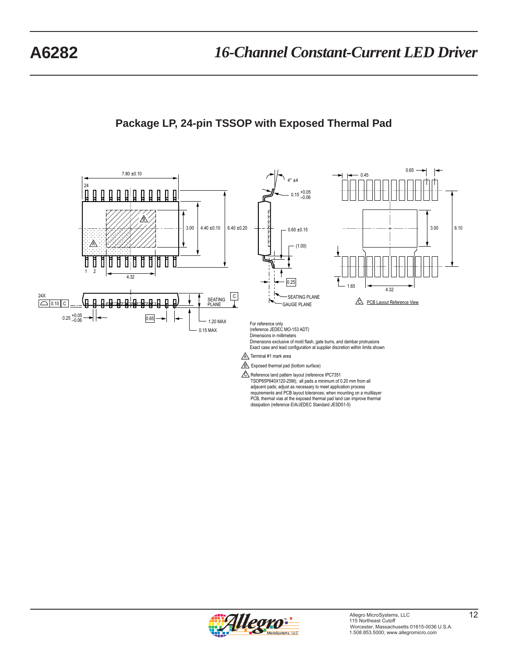

# **Package LP, 24-pin TSSOP with Exposed Thermal Pad**